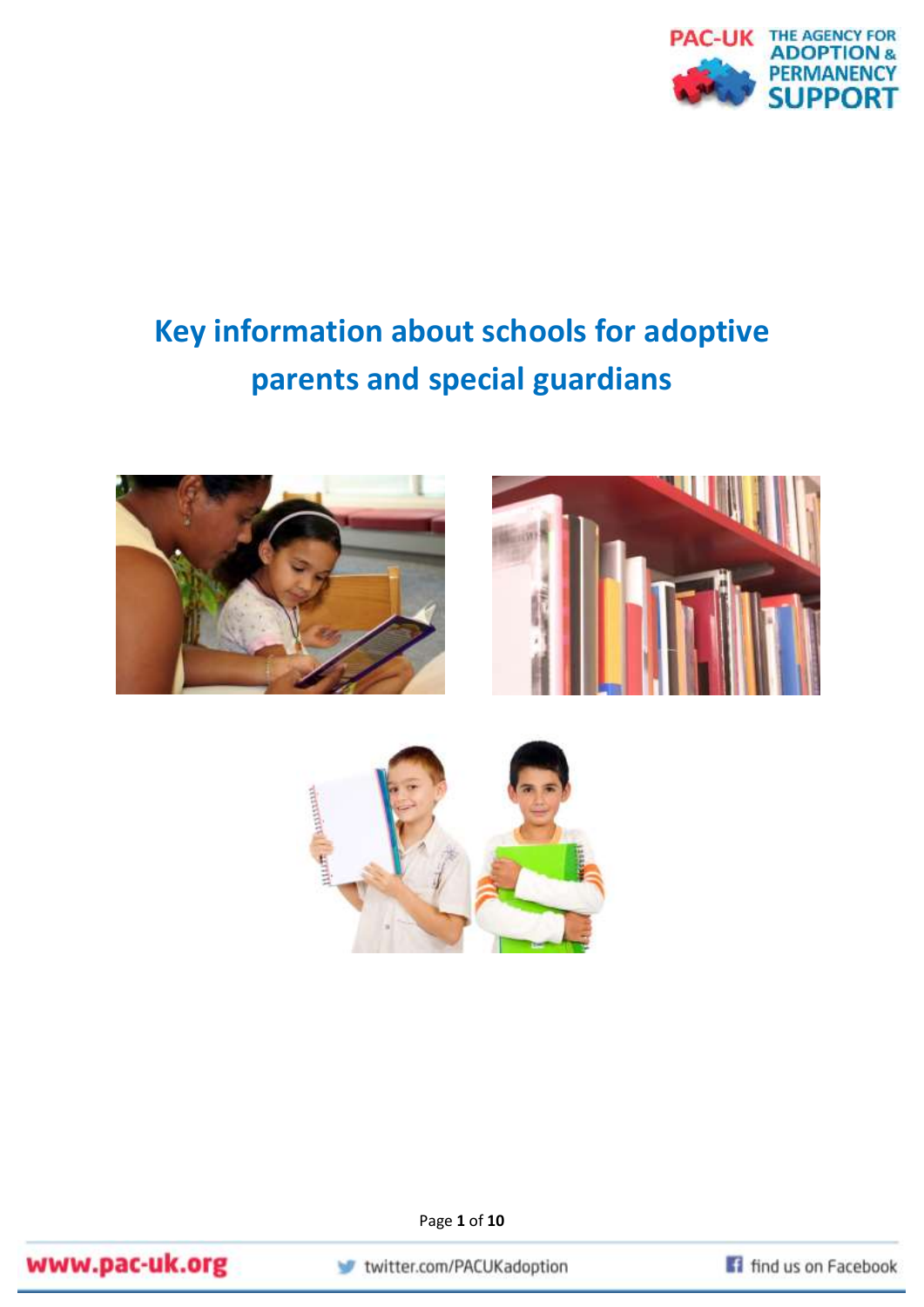

# **Key information about schools for adoptive parents and special guardians**





Page **1** of **10**



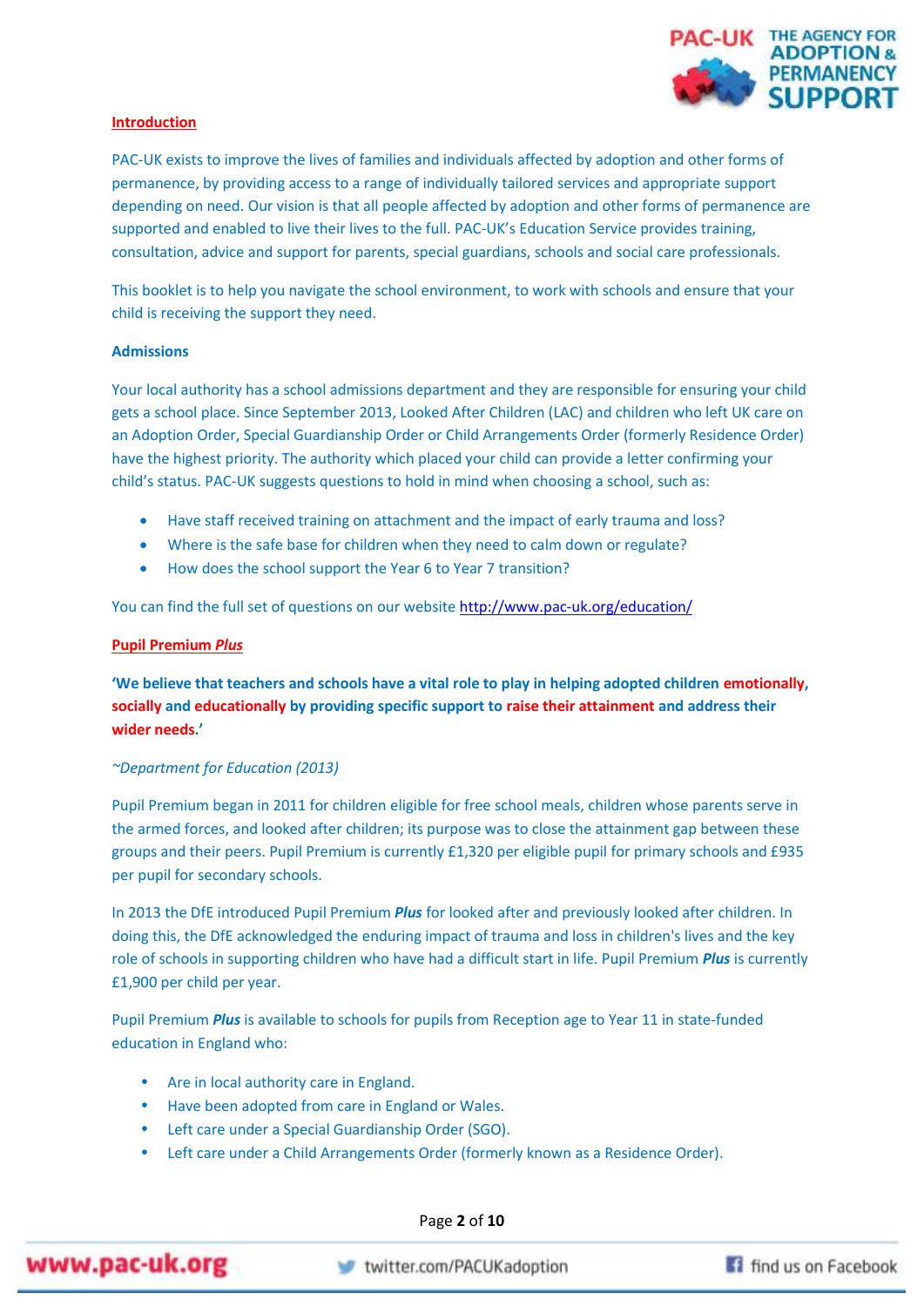

# **Introduction**

PAC-UK exists to improve the lives of families and individuals affected by adoption and other forms of permanence, by providing access to a range of individually tailored services and appropriate support depending on need. Our vision is that all people affected by adoption and other forms of permanence are supported and enabled to live their lives to the full. PAC-UK's Education Service provides training, consultation, advice and support for parents, special guardians, schools and social care professionals.

This booklet is to help you navigate the school environment, to work with schools and ensure that your child is receiving the support they need.

# **Admissions**

Your local authority has a school admissions department and they are responsible for ensuring your child gets a school place. Since September 2013, Looked After Children (LAC) and children who left UK care on an Adoption Order, Special Guardianship Order or Child Arrangements Order (formerly Residence Order) have the highest priority. The authority which placed your child can provide a letter confirming your child's status. PAC-UK suggests questions to hold in mind when choosing a school, such as:

- Have staff received training on attachment and the impact of early trauma and loss?
- Where is the safe base for children when they need to calm down or regulate?
- How does the school support the Year 6 to Year 7 transition?

You can find the full set of questions on our website <http://www.pac-uk.org/education/>

# **Pupil Premium** *Plus*

**'We believe that teachers and schools have a vital role to play in helping adopted children emotionally, socially and educationally by providing specific support to raise their attainment and address their wider needs.'** 

# *~Department for Education (2013)*

Pupil Premium began in 2011 for children eligible for free school meals, children whose parents serve in the armed forces, and looked after children; its purpose was to close the attainment gap between these groups and their peers. Pupil Premium is currently £1,320 per eligible pupil for primary schools and £935 per pupil for secondary schools.

In 2013 the DfE introduced Pupil Premium *Plus* for looked after and previously looked after children. In doing this, the DfE acknowledged the enduring impact of trauma and loss in children's lives and the key role of schools in supporting children who have had a difficult start in life. Pupil Premium *Plus* is currently £1,900 per child per year.

Pupil Premium *Plus* is available to schools for pupils from Reception age to Year 11 in state-funded education in England who:

- Are in local authority care in England.
- Have been adopted from care in England or Wales.
- Left care under a Special Guardianship Order (SGO).
- Left care under a Child Arrangements Order (formerly known as a Residence Order).

Page **2** of **10**



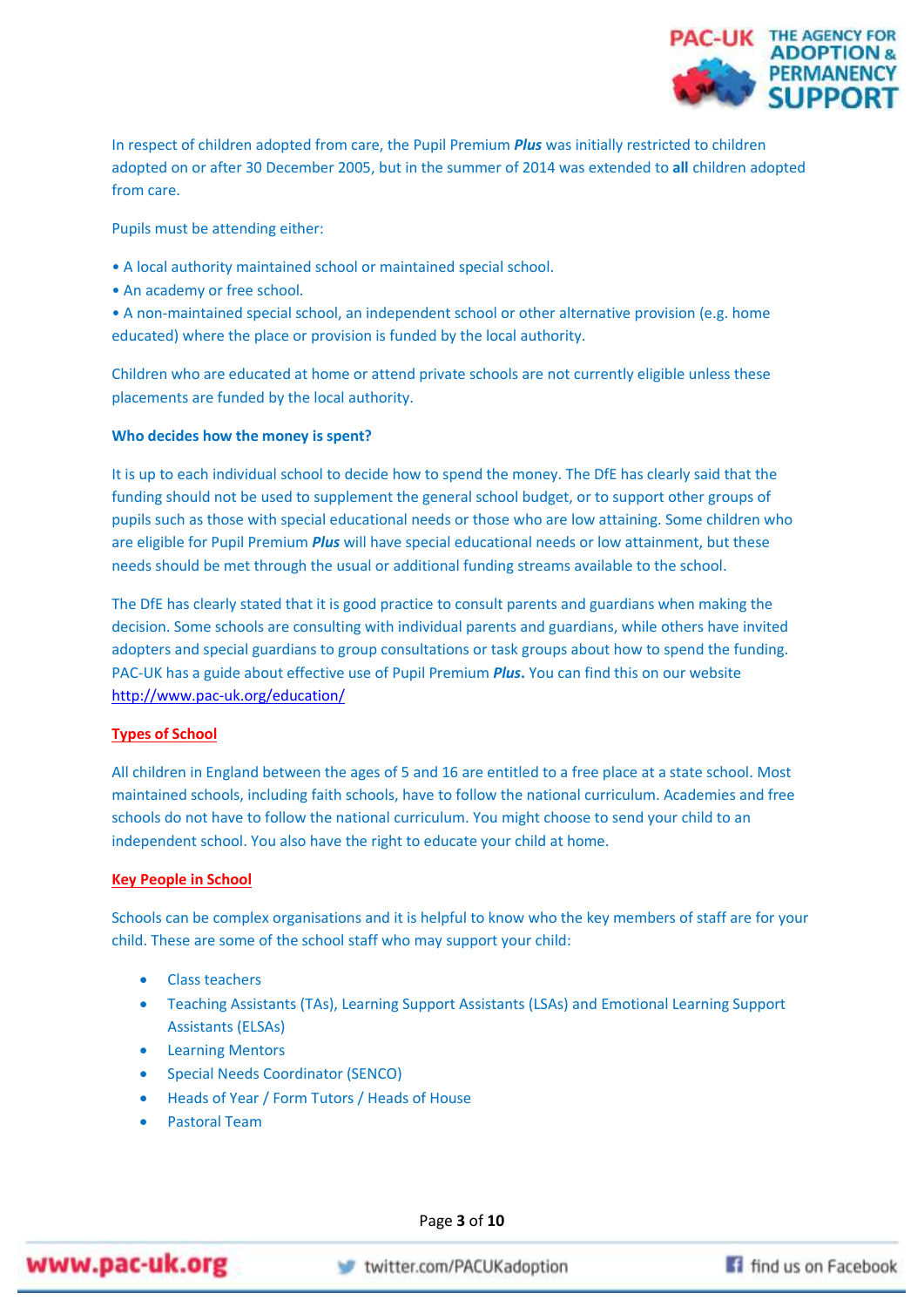

In respect of children adopted from care, the Pupil Premium *Plus* was initially restricted to children adopted on or after 30 December 2005, but in the summer of 2014 was extended to **all** children adopted from care.

Pupils must be attending either:

- A local authority maintained school or maintained special school.
- An academy or free school.

• A non-maintained special school, an independent school or other alternative provision (e.g. home educated) where the place or provision is funded by the local authority.

Children who are educated at home or attend private schools are not currently eligible unless these placements are funded by the local authority.

# **Who decides how the money is spent?**

It is up to each individual school to decide how to spend the money. The DfE has clearly said that the funding should not be used to supplement the general school budget, or to support other groups of pupils such as those with special educational needs or those who are low attaining. Some children who are eligible for Pupil Premium *Plus* will have special educational needs or low attainment, but these needs should be met through the usual or additional funding streams available to the school.

The DfE has clearly stated that it is good practice to consult parents and guardians when making the decision. Some schools are consulting with individual parents and guardians, while others have invited adopters and special guardians to group consultations or task groups about how to spend the funding. PAC-UK has a guide about effective use of Pupil Premium *Plus***.** You can find this on our website <http://www.pac-uk.org/education/>

# **Types of School**

All children in England between the ages of 5 and 16 are entitled to a free place at a state school. Most maintained schools, including faith schools, have to follow the national curriculum. Academies and free schools do not have to follow the national curriculum. You might choose to send your child to an independent school. You also have the right to educate your child at home.

# **Key People in School**

Schools can be complex organisations and it is helpful to know who the key members of staff are for your child. These are some of the school staff who may support your child:

- Class teachers
- Teaching Assistants (TAs), Learning Support Assistants (LSAs) and Emotional Learning Support Assistants (ELSAs)
- Learning Mentors
- Special Needs Coordinator (SENCO)
- Heads of Year / Form Tutors / Heads of House
- Pastoral Team

Page **3** of **10**

www.pac-uk.org

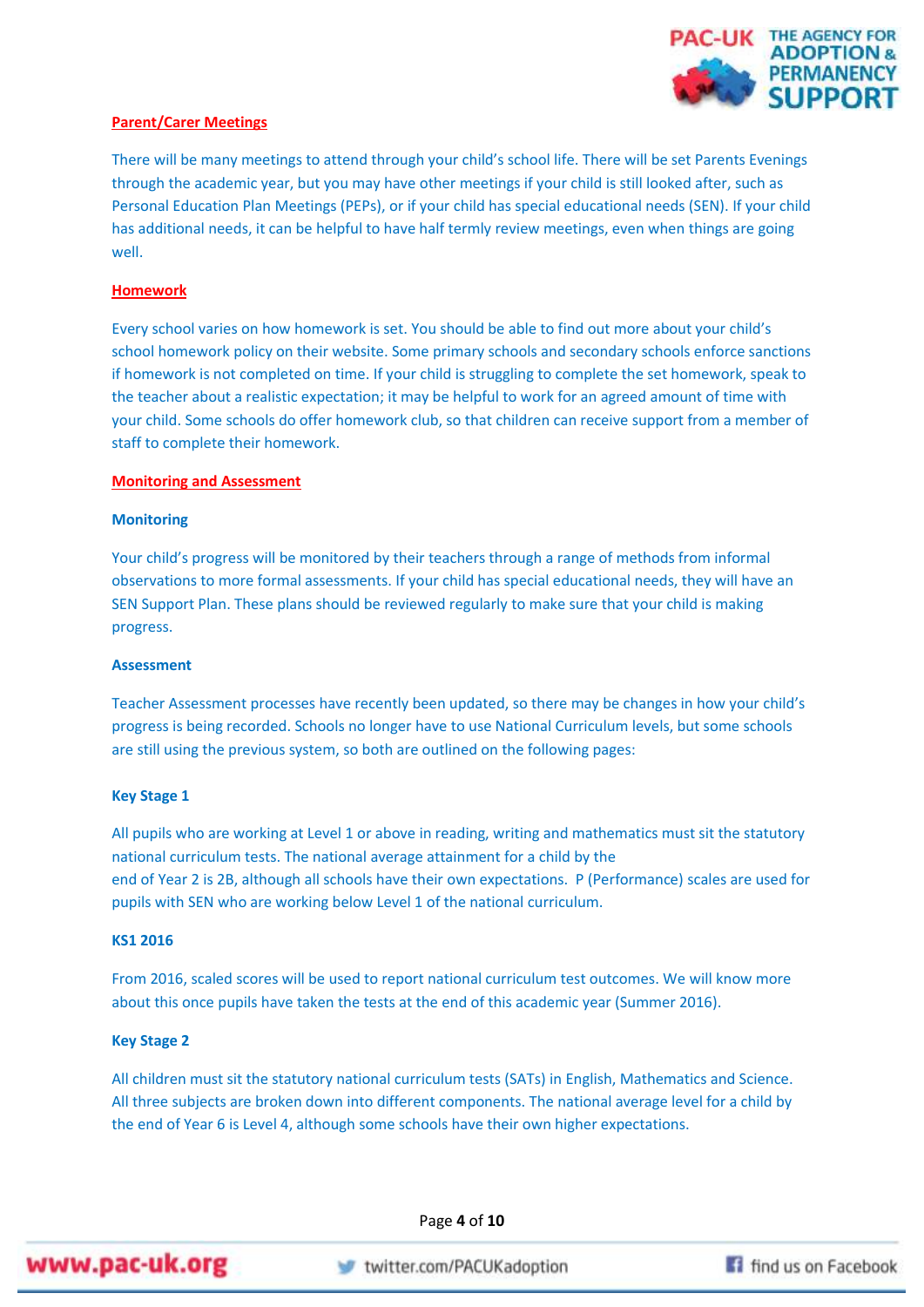

# **Parent/Carer Meetings**

There will be many meetings to attend through your child's school life. There will be set Parents Evenings through the academic year, but you may have other meetings if your child is still looked after, such as Personal Education Plan Meetings (PEPs), or if your child has special educational needs (SEN). If your child has additional needs, it can be helpful to have half termly review meetings, even when things are going well.

# **Homework**

Every school varies on how homework is set. You should be able to find out more about your child's school homework policy on their website. Some primary schools and secondary schools enforce sanctions if homework is not completed on time. If your child is struggling to complete the set homework, speak to the teacher about a realistic expectation; it may be helpful to work for an agreed amount of time with your child. Some schools do offer homework club, so that children can receive support from a member of staff to complete their homework.

# **Monitoring and Assessment**

# **Monitoring**

Your child's progress will be monitored by their teachers through a range of methods from informal observations to more formal assessments. If your child has special educational needs, they will have an SEN Support Plan. These plans should be reviewed regularly to make sure that your child is making progress.

#### **Assessment**

Teacher Assessment processes have recently been updated, so there may be changes in how your child's progress is being recorded. Schools no longer have to use National Curriculum levels, but some schools are still using the previous system, so both are outlined on the following pages:

#### **Key Stage 1**

All pupils who are working at Level 1 or above in reading, writing and mathematics must sit the statutory national curriculum tests. The national average attainment for a child by the end of Year 2 is 2B, although all schools have their own expectations. P (Performance) scales are used for pupils with SEN who are working below Level 1 of the national curriculum.

## **KS1 2016**

From 2016, scaled scores will be used to report national curriculum test outcomes. We will know more about this once pupils have taken the tests at the end of this academic year (Summer 2016).

#### **Key Stage 2**

All children must sit the statutory national curriculum tests (SATs) in English, Mathematics and Science. All three subjects are broken down into different components. The national average level for a child by the end of Year 6 is Level 4, although some schools have their own higher expectations.

Page **4** of **10**



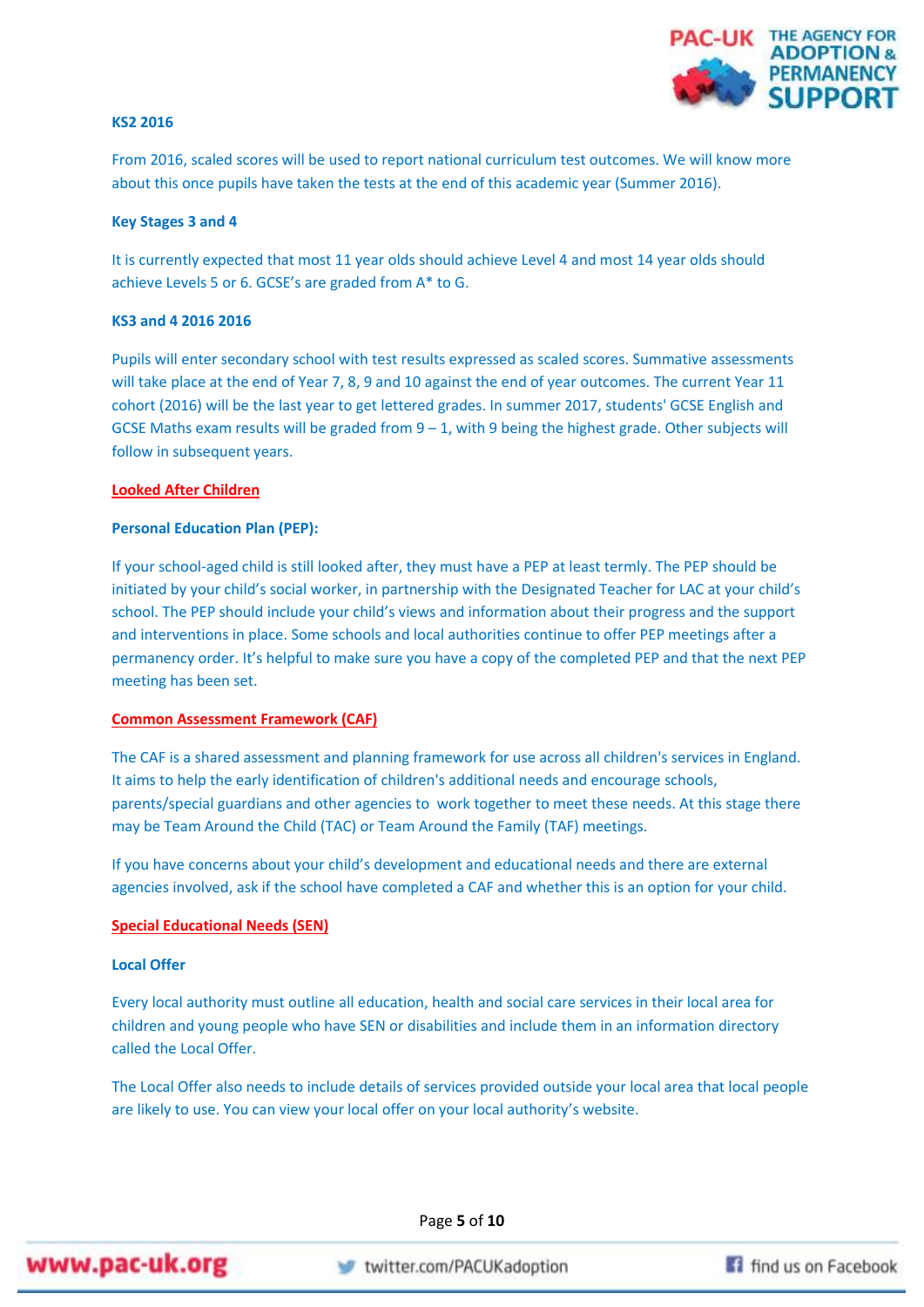

## **KS2 2016**

From 2016, scaled scores will be used to report national curriculum test outcomes. We will know more about this once pupils have taken the tests at the end of this academic year (Summer 2016).

#### **Key Stages 3 and 4**

It is currently expected that most 11 year olds should achieve Level 4 and most 14 year olds should achieve Levels 5 or 6. GCSE's are graded from A\* to G.

#### **KS3 and 4 2016 2016**

Pupils will enter secondary school with test results expressed as scaled scores. Summative assessments will take place at the end of Year 7, 8, 9 and 10 against the end of year outcomes. The current Year 11 cohort (2016) will be the last year to get lettered grades. In summer 2017, students' GCSE English and GCSE Maths exam results will be graded from 9 – 1, with 9 being the highest grade. Other subjects will follow in subsequent years.

# **Looked After Children**

### **Personal Education Plan (PEP):**

If your school-aged child is still looked after, they must have a PEP at least termly. The PEP should be initiated by your child's social worker, in partnership with the Designated Teacher for LAC at your child's school. The PEP should include your child's views and information about their progress and the support and interventions in place. Some schools and local authorities continue to offer PEP meetings after a permanency order. It's helpful to make sure you have a copy of the completed PEP and that the next PEP meeting has been set.

# **Common Assessment Framework (CAF)**

The CAF is a shared assessment and planning framework for use across all children's services in England. It aims to help the early identification of children's additional needs and encourage schools, parents/special guardians and other agencies to work together to meet these needs. At this stage there may be Team Around the Child (TAC) or Team Around the Family (TAF) meetings.

If you have concerns about your child's development and educational needs and there are external agencies involved, ask if the school have completed a CAF and whether this is an option for your child.

# **Special Educational Needs (SEN)**

#### **Local Offer**

Every local authority must outline all education, health and social care services in their local area for children and young people who have SEN or disabilities and include them in an information directory called the Local Offer.

The Local Offer also needs to include details of services provided outside your local area that local people are likely to use. You can view your local offer on your local authority's website.

Page **5** of **10**



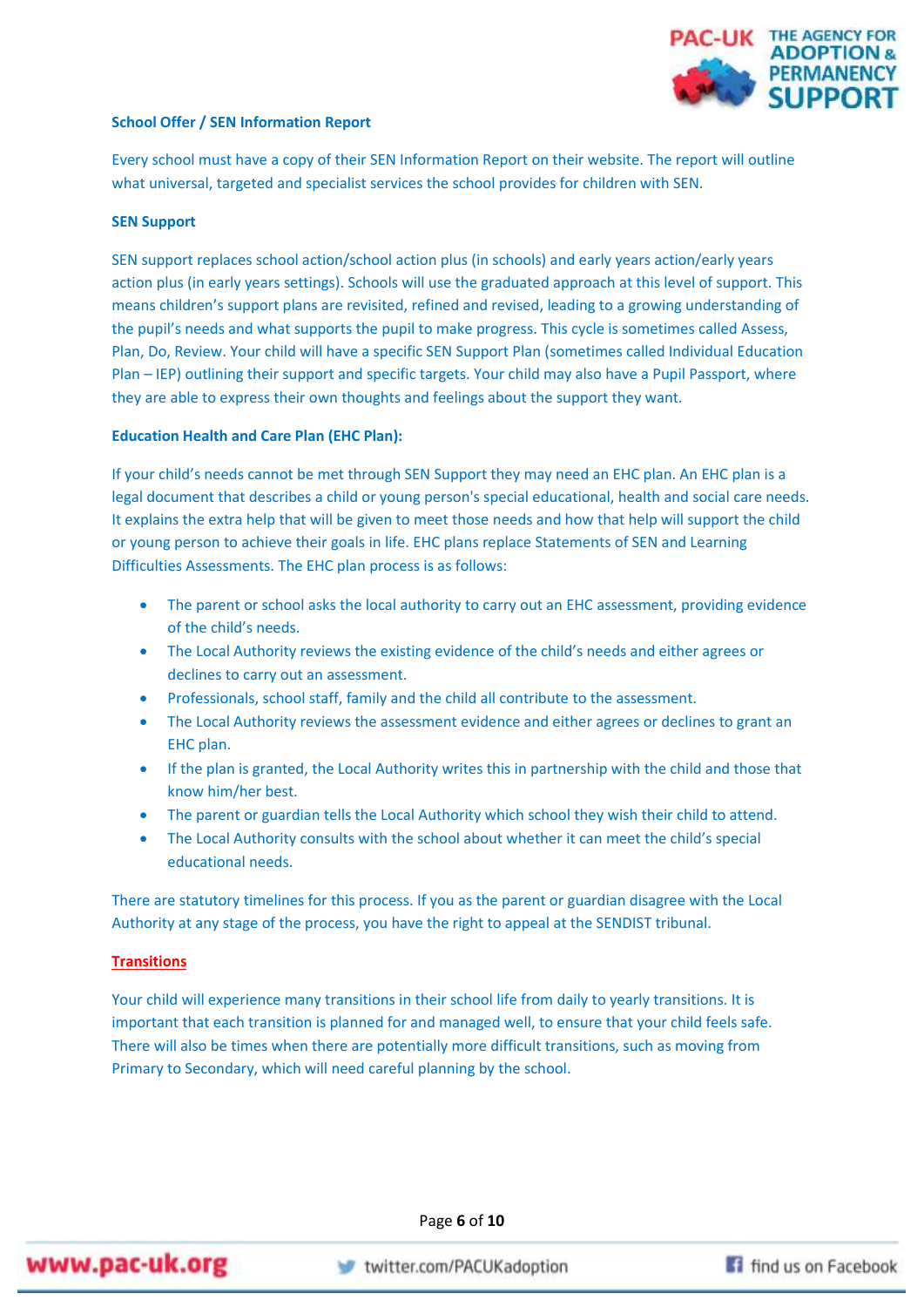

# **School Offer / SEN Information Report**

Every school must have a copy of their SEN Information Report on their website. The report will outline what universal, targeted and specialist services the school provides for children with SEN.

# **SEN Support**

SEN support replaces school action/school action plus (in schools) and early years action/early years action plus (in early years settings). Schools will use the graduated approach at this level of support. This means children's support plans are revisited, refined and revised, leading to a growing understanding of the pupil's needs and what supports the pupil to make progress. This cycle is sometimes called Assess, Plan, Do, Review. Your child will have a specific SEN Support Plan (sometimes called Individual Education Plan – IEP) outlining their support and specific targets. Your child may also have a Pupil Passport, where they are able to express their own thoughts and feelings about the support they want.

### **Education Health and Care Plan (EHC Plan):**

If your child's needs cannot be met through SEN Support they may need an EHC plan. An EHC plan is a legal document that describes a child or young person's special educational, health and social care needs. It explains the extra help that will be given to meet those needs and how that help will support the child or young person to achieve their goals in life. EHC plans replace Statements of SEN and Learning Difficulties Assessments. The EHC plan process is as follows:

- The parent or school asks the local authority to carry out an EHC assessment, providing evidence of the child's needs.
- The Local Authority reviews the existing evidence of the child's needs and either agrees or declines to carry out an assessment.
- Professionals, school staff, family and the child all contribute to the assessment.
- The Local Authority reviews the assessment evidence and either agrees or declines to grant an EHC plan.
- If the plan is granted, the Local Authority writes this in partnership with the child and those that know him/her best.
- The parent or guardian tells the Local Authority which school they wish their child to attend.
- The Local Authority consults with the school about whether it can meet the child's special educational needs.

There are statutory timelines for this process. If you as the parent or guardian disagree with the Local Authority at any stage of the process, you have the right to appeal at the SENDIST tribunal.

## **Transitions**

Your child will experience many transitions in their school life from daily to yearly transitions. It is important that each transition is planned for and managed well, to ensure that your child feels safe. There will also be times when there are potentially more difficult transitions, such as moving from Primary to Secondary, which will need careful planning by the school.

Page **6** of **10**



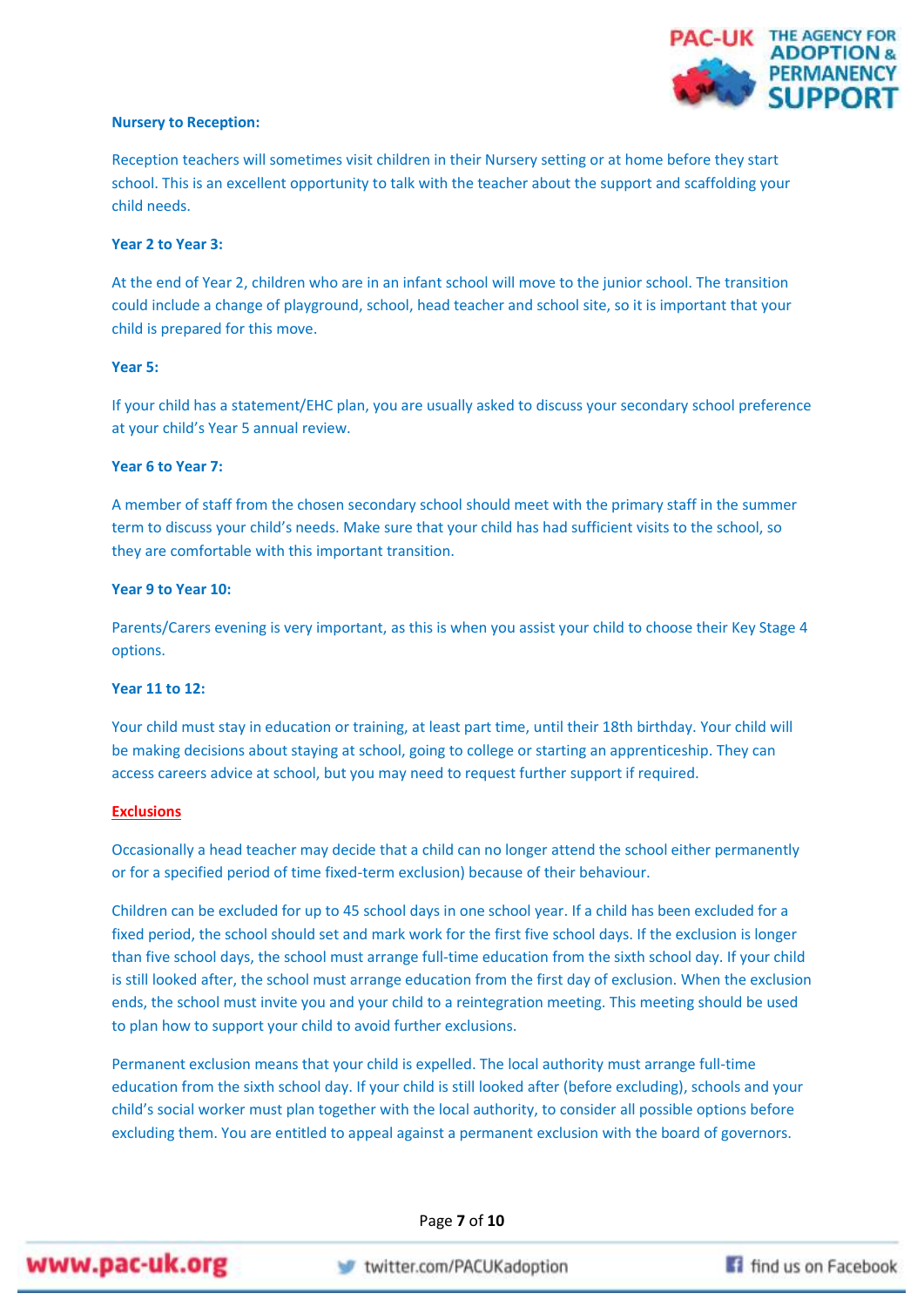

# **Nursery to Reception:**

Reception teachers will sometimes visit children in their Nursery setting or at home before they start school. This is an excellent opportunity to talk with the teacher about the support and scaffolding your child needs.

# **Year 2 to Year 3:**

At the end of Year 2, children who are in an infant school will move to the junior school. The transition could include a change of playground, school, head teacher and school site, so it is important that your child is prepared for this move.

# **Year 5:**

If your child has a statement/EHC plan, you are usually asked to discuss your secondary school preference at your child's Year 5 annual review.

# **Year 6 to Year 7:**

A member of staff from the chosen secondary school should meet with the primary staff in the summer term to discuss your child's needs. Make sure that your child has had sufficient visits to the school, so they are comfortable with this important transition.

# **Year 9 to Year 10:**

Parents/Carers evening is very important, as this is when you assist your child to choose their Key Stage 4 options.

# **Year 11 to 12:**

Your child must stay in education or training, at least part time, until their 18th birthday. Your child will be making decisions about staying at school, going to college or starting an apprenticeship. They can access careers advice at school, but you may need to request further support if required.

# **Exclusions**

Occasionally a head teacher may decide that a child can no longer attend the school either permanently or for a specified period of time fixed-term exclusion) because of their behaviour.

Children can be excluded for up to 45 school days in one school year. If a child has been excluded for a fixed period, the school should set and mark work for the first five school days. If the exclusion is longer than five school days, the school must arrange full-time education from the sixth school day. If your child is still looked after, the school must arrange education from the first day of exclusion. When the exclusion ends, the school must invite you and your child to a reintegration meeting. This meeting should be used to plan how to support your child to avoid further exclusions.

Permanent exclusion means that your child is expelled. The local authority must arrange full-time education from the sixth school day. If your child is still looked after (before excluding), schools and your child's social worker must plan together with the local authority, to consider all possible options before excluding them. You are entitled to appeal against a permanent exclusion with the board of governors.

Page **7** of **10**



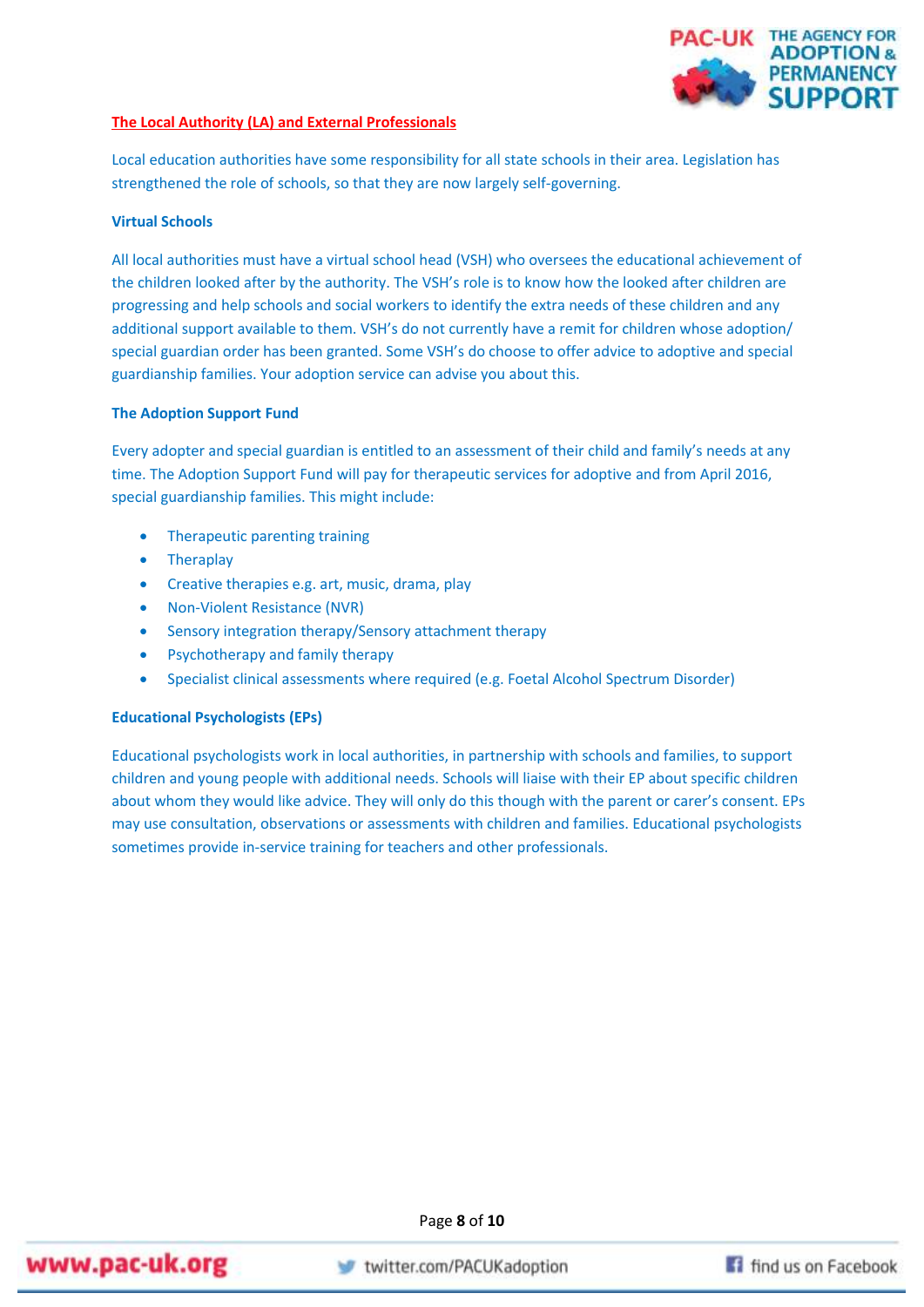

# **The Local Authority (LA) and External Professionals**

Local education authorities have some responsibility for all state schools in their area. Legislation has strengthened the role of schools, so that they are now largely self-governing.

# **Virtual Schools**

All local authorities must have a virtual school head (VSH) who oversees the educational achievement of the children looked after by the authority. The VSH's role is to know how the looked after children are progressing and help schools and social workers to identify the extra needs of these children and any additional support available to them. VSH's do not currently have a remit for children whose adoption/ special guardian order has been granted. Some VSH's do choose to offer advice to adoptive and special guardianship families. Your adoption service can advise you about this.

# **The Adoption Support Fund**

Every adopter and special guardian is entitled to an assessment of their child and family's needs at any time. The Adoption Support Fund will pay for therapeutic services for adoptive and from April 2016, special guardianship families. This might include:

- Therapeutic parenting training
- **•** Theraplay
- Creative therapies e.g. art, music, drama, play
- Non-Violent Resistance (NVR)
- Sensory integration therapy/Sensory attachment therapy
- Psychotherapy and family therapy
- Specialist clinical assessments where required (e.g. Foetal Alcohol Spectrum Disorder)

# **Educational Psychologists (EPs)**

Educational psychologists work in local authorities, in partnership with schools and families, to support children and young people with additional needs. Schools will liaise with their EP about specific children about whom they would like advice. They will only do this though with the parent or carer's consent. EPs may use consultation, observations or assessments with children and families. Educational psychologists sometimes provide in-service training for teachers and other professionals.

Page **8** of **10**

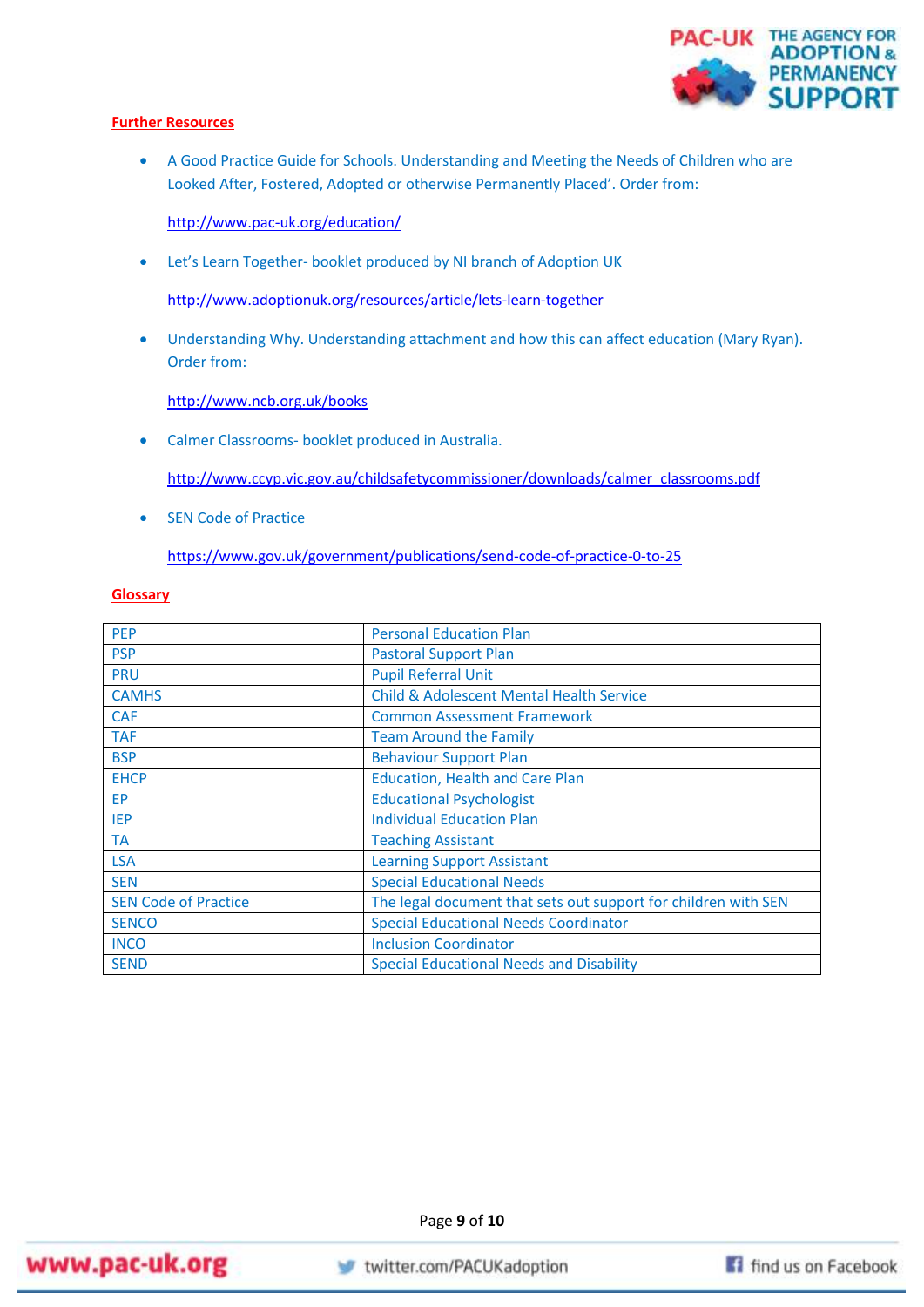

# **Further Resources**

 A Good Practice Guide for Schools. Understanding and Meeting the Needs of Children who are Looked After, Fostered, Adopted or otherwise Permanently Placed'. Order from:

<http://www.pac-uk.org/education/>

Let's Learn Together- booklet produced by NI branch of Adoption UK

<http://www.adoptionuk.org/resources/article/lets-learn-together>

 Understanding Why. Understanding attachment and how this can affect education (Mary Ryan). Order from:

<http://www.ncb.org.uk/books>

Calmer Classrooms- booklet produced in Australia.

[http://www.ccyp.vic.gov.au/childsafetycommissioner/downloads/calmer\\_classrooms.pdf](http://www.ccyp.vic.gov.au/childsafetycommissioner/downloads/calmer_classrooms.pdf)

• SEN Code of Practice

<https://www.gov.uk/government/publications/send-code-of-practice-0-to-25>

## **Glossary**

| <b>PEP</b>                  | <b>Personal Education Plan</b>                                 |
|-----------------------------|----------------------------------------------------------------|
| <b>PSP</b>                  | <b>Pastoral Support Plan</b>                                   |
| <b>PRU</b>                  | <b>Pupil Referral Unit</b>                                     |
| <b>CAMHS</b>                | <b>Child &amp; Adolescent Mental Health Service</b>            |
| <b>CAF</b>                  | <b>Common Assessment Framework</b>                             |
| <b>TAF</b>                  | <b>Team Around the Family</b>                                  |
| <b>BSP</b>                  | <b>Behaviour Support Plan</b>                                  |
| <b>EHCP</b>                 | <b>Education, Health and Care Plan</b>                         |
| <b>EP</b>                   | <b>Educational Psychologist</b>                                |
| <b>IEP</b>                  | <b>Individual Education Plan</b>                               |
| <b>TA</b>                   | <b>Teaching Assistant</b>                                      |
| <b>LSA</b>                  | <b>Learning Support Assistant</b>                              |
| <b>SEN</b>                  | <b>Special Educational Needs</b>                               |
| <b>SEN Code of Practice</b> | The legal document that sets out support for children with SEN |
| <b>SENCO</b>                | <b>Special Educational Needs Coordinator</b>                   |
| <b>INCO</b>                 | <b>Inclusion Coordinator</b>                                   |
| <b>SEND</b>                 | Special Educational Needs and Disability                       |

Page **9** of **10**